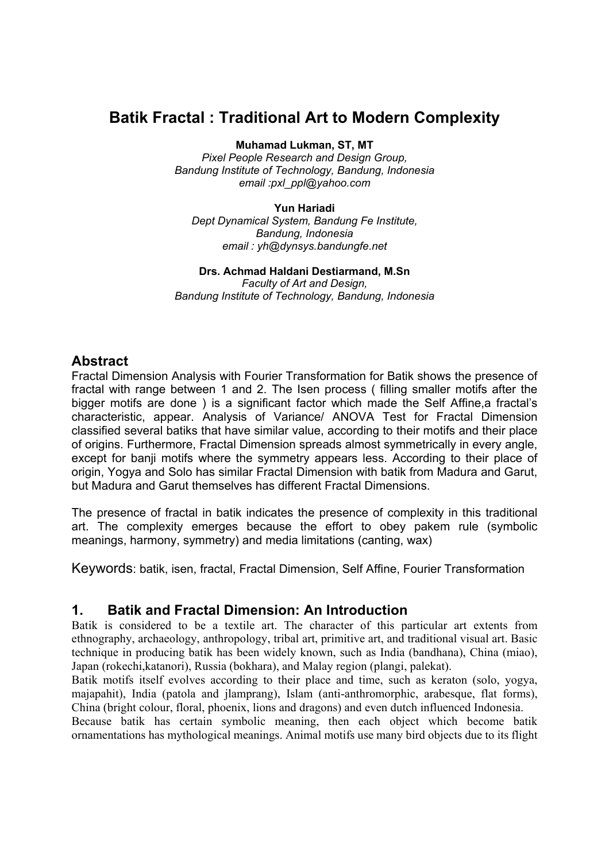# **Batik Fractal : Traditional Art to Modern Complexity**

**Muhamad Lukman, ST, MT** 

*Pixel People Research and Design Group, Bandung Institute of Technology, Bandung, Indonesia email :pxl\_ppl@yahoo.com* 

**Yun Hariadi**  *Dept Dynamical System, Bandung Fe Institute, Bandung, Indonesia email : yh@dynsys.bandungfe.net* 

## **Drs. Achmad Haldani Destiarmand, M.Sn**

*Faculty of Art and Design, Bandung Institute of Technology, Bandung, Indonesia*

### **Abstract**

Fractal Dimension Analysis with Fourier Transformation for Batik shows the presence of fractal with range between 1 and 2. The Isen process ( filling smaller motifs after the bigger motifs are done ) is a significant factor which made the Self Affine,a fractal's characteristic, appear. Analysis of Variance/ ANOVA Test for Fractal Dimension classified several batiks that have similar value, according to their motifs and their place of origins. Furthermore, Fractal Dimension spreads almost symmetrically in every angle, except for banji motifs where the symmetry appears less. According to their place of origin, Yogya and Solo has similar Fractal Dimension with batik from Madura and Garut, but Madura and Garut themselves has different Fractal Dimensions.

The presence of fractal in batik indicates the presence of complexity in this traditional art. The complexity emerges because the effort to obey pakem rule (symbolic meanings, harmony, symmetry) and media limitations (canting, wax)

Keywords: batik, isen, fractal, Fractal Dimension, Self Affine, Fourier Transformation

### **1. Batik and Fractal Dimension: An Introduction**

Batik is considered to be a textile art. The character of this particular art extents from ethnography, archaeology, anthropology, tribal art, primitive art, and traditional visual art. Basic technique in producing batik has been widely known, such as India (bandhana), China (miao), Japan (rokechi,katanori), Russia (bokhara), and Malay region (plangi, palekat).

Batik motifs itself evolves according to their place and time, such as keraton (solo, yogya, majapahit), India (patola and jlamprang), Islam (anti-anthromorphic, arabesque, flat forms), China (bright colour, floral, phoenix, lions and dragons) and even dutch influenced Indonesia.

Because batik has certain symbolic meaning, then each object which become batik ornamentations has mythological meanings. Animal motifs use many bird objects due to its flight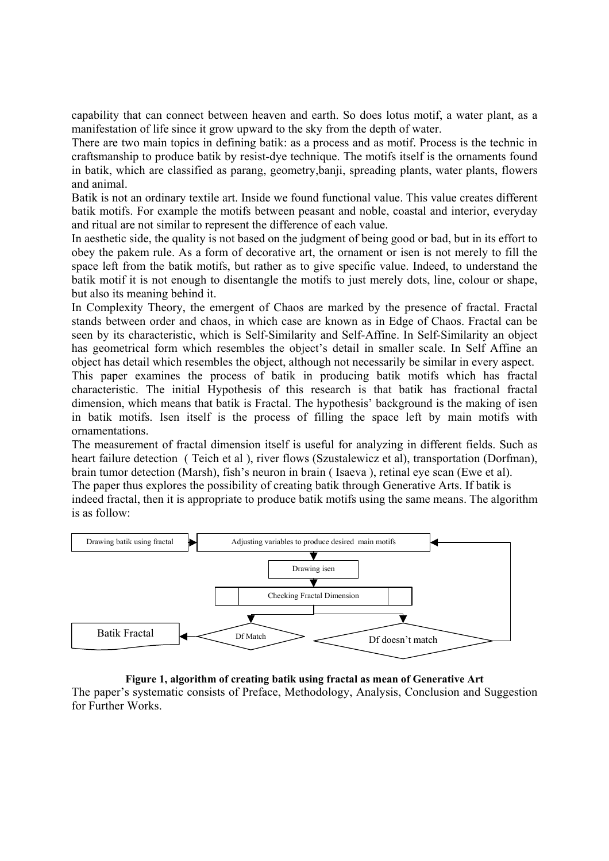capability that can connect between heaven and earth. So does lotus motif, a water plant, as a manifestation of life since it grow upward to the sky from the depth of water.

There are two main topics in defining batik: as a process and as motif. Process is the technic in craftsmanship to produce batik by resist-dye technique. The motifs itself is the ornaments found in batik, which are classified as parang, geometry,banji, spreading plants, water plants, flowers and animal.

Batik is not an ordinary textile art. Inside we found functional value. This value creates different batik motifs. For example the motifs between peasant and noble, coastal and interior, everyday and ritual are not similar to represent the difference of each value.

In aesthetic side, the quality is not based on the judgment of being good or bad, but in its effort to obey the pakem rule. As a form of decorative art, the ornament or isen is not merely to fill the space left from the batik motifs, but rather as to give specific value. Indeed, to understand the batik motif it is not enough to disentangle the motifs to just merely dots, line, colour or shape, but also its meaning behind it.

In Complexity Theory, the emergent of Chaos are marked by the presence of fractal. Fractal stands between order and chaos, in which case are known as in Edge of Chaos. Fractal can be seen by its characteristic, which is Self-Similarity and Self-Affine. In Self-Similarity an object has geometrical form which resembles the object's detail in smaller scale. In Self Affine an object has detail which resembles the object, although not necessarily be similar in every aspect. This paper examines the process of batik in producing batik motifs which has fractal characteristic. The initial Hypothesis of this research is that batik has fractional fractal dimension, which means that batik is Fractal. The hypothesis' background is the making of isen

in batik motifs. Isen itself is the process of filling the space left by main motifs with ornamentations. The measurement of fractal dimension itself is useful for analyzing in different fields. Such as

heart failure detection ( Teich et al ), river flows (Szustalewicz et al), transportation (Dorfman), brain tumor detection (Marsh), fish's neuron in brain ( Isaeva ), retinal eye scan (Ewe et al). The paper thus explores the possibility of creating batik through Generative Arts. If batik is indeed fractal, then it is appropriate to produce batik motifs using the same means. The algorithm is as follow:



#### **Figure 1, algorithm of creating batik using fractal as mean of Generative Art**

The paper's systematic consists of Preface, Methodology, Analysis, Conclusion and Suggestion for Further Works.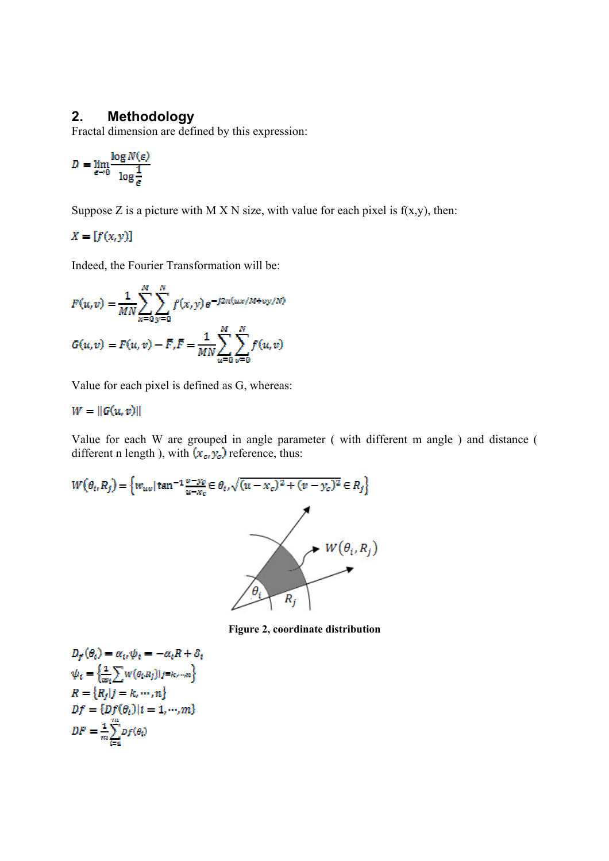#### **2. Methodology**

Fractal dimension are defined by this expression:

$$
D = \lim_{\epsilon \to 0} \frac{\log N(\epsilon)}{\log \frac{1}{\epsilon}}
$$

Suppose Z is a picture with M X N size, with value for each pixel is  $f(x,y)$ , then:

$$
X=[f(x,y)]
$$

Indeed, the Fourier Transformation will be:

$$
F(u,v) = \frac{1}{MN} \sum_{x=0}^{M} \sum_{y=0}^{N} f(x,y) e^{-j2\pi(ux/M + vy/N)}
$$
  

$$
G(u,v) = F(u,v) - \bar{F}, \bar{F} = \frac{1}{MN} \sum_{u=0}^{M} \sum_{v=0}^{N} f(u,v)
$$

Value for each pixel is defined as G, whereas:

## $W = ||G(u, v)||$

Value for each W are grouped in angle parameter ( with different m angle ) and distance ( different n length ), with  $(x_e, y_e)$  reference, thus:

$$
W(\theta_i, R_j) = \left\{ w_{uv} | \tan^{-1} \frac{v - y_c}{u - x_c} \in \theta_i, \sqrt{(u - x_c)^2 + (v - y_c)^2} \in R_j \right\}
$$
  
 
$$
W(\theta_i, R_j)
$$

**Figure 2, coordinate distribution** 

$$
D_f(\theta_i) = \alpha_i, \psi_i = -\alpha_i R + \delta_i
$$
  
\n
$$
\psi_i = \left\{ \frac{1}{\omega_i} \sum W(\theta_i, R_j) \right\} |j = k, \dots, n \right\}
$$
  
\n
$$
R = \left\{ R_j | j = k, \dots, n \right\}
$$
  
\n
$$
Df = \left\{ Df(\theta_i) | i = 1, \dots, m \right\}
$$
  
\n
$$
DF = \frac{1}{m} \sum_{i=1}^{m} p_f(\theta_i)
$$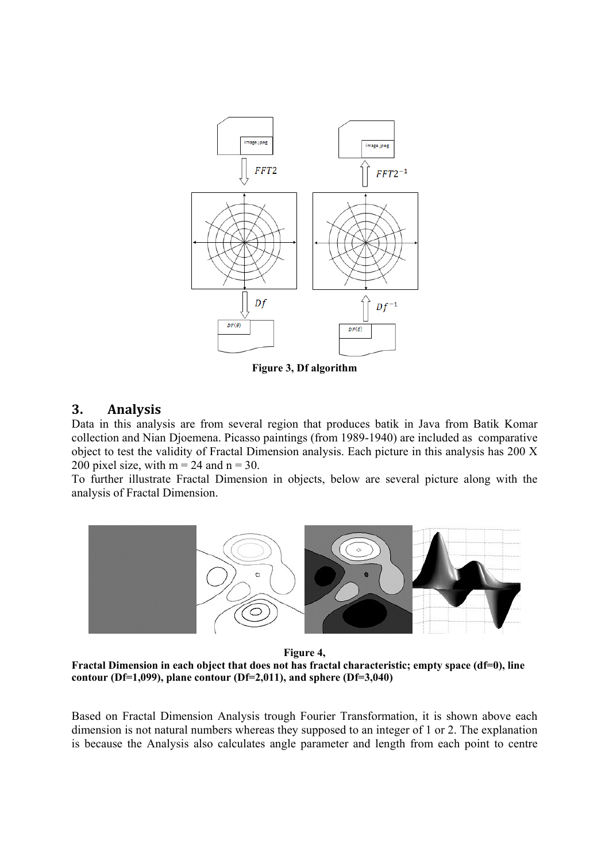

**Figure 3, Df algorithm** 

#### **3. Analysis**

Data in this analysis are from several region that produces batik in Java from Batik Komar collection and Nian Djoemena. Picasso paintings (from 1989-1940) are included as comparative object to test the validity of Fractal Dimension analysis. Each picture in this analysis has 200 X 200 pixel size, with  $m = 24$  and  $n = 30$ .

To further illustrate Fractal Dimension in objects, below are several picture along with the analysis of Fractal Dimension.



**Figure 4,** 

**Fractal Dimension in each object that does not has fractal characteristic; empty space (df=0), line contour (Df=1,099), plane contour (Df=2,011), and sphere (Df=3,040)** 

Based on Fractal Dimension Analysis trough Fourier Transformation, it is shown above each dimension is not natural numbers whereas they supposed to an integer of 1 or 2. The explanation is because the Analysis also calculates angle parameter and length from each point to centre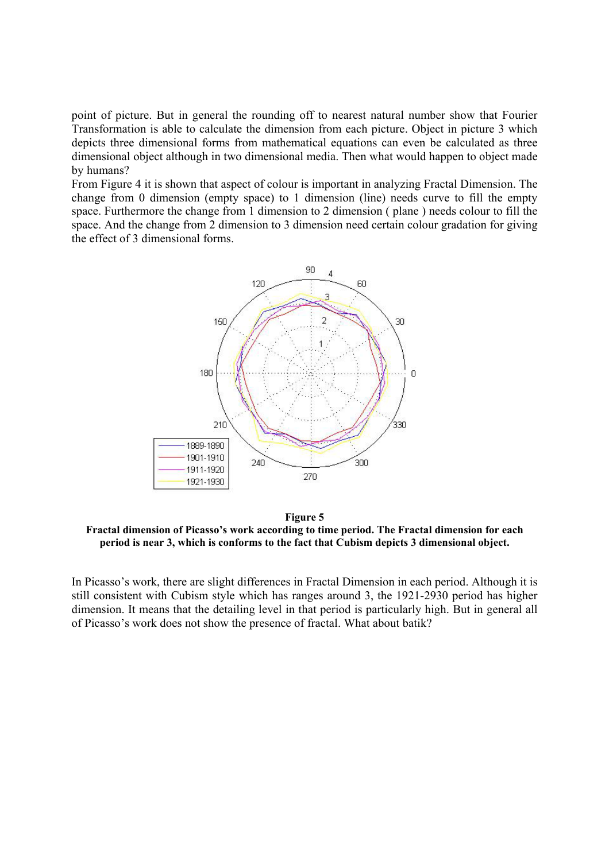point of picture. But in general the rounding off to nearest natural number show that Fourier Transformation is able to calculate the dimension from each picture. Object in picture 3 which depicts three dimensional forms from mathematical equations can even be calculated as three dimensional object although in two dimensional media. Then what would happen to object made by humans?

From Figure 4 it is shown that aspect of colour is important in analyzing Fractal Dimension. The change from 0 dimension (empty space) to 1 dimension (line) needs curve to fill the empty space. Furthermore the change from 1 dimension to 2 dimension ( plane ) needs colour to fill the space. And the change from 2 dimension to 3 dimension need certain colour gradation for giving the effect of 3 dimensional forms.



**Figure 5 Fractal dimension of Picasso's work according to time period. The Fractal dimension for each period is near 3, which is conforms to the fact that Cubism depicts 3 dimensional object.** 

In Picasso's work, there are slight differences in Fractal Dimension in each period. Although it is still consistent with Cubism style which has ranges around 3, the 1921-2930 period has higher dimension. It means that the detailing level in that period is particularly high. But in general all of Picasso's work does not show the presence of fractal. What about batik?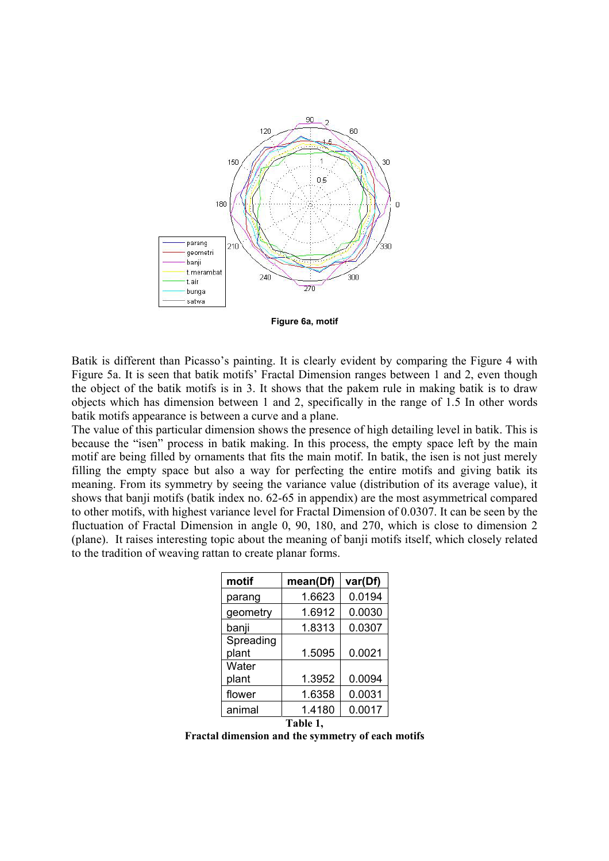

**Figure 6a, motif** 

Batik is different than Picasso's painting. It is clearly evident by comparing the Figure 4 with Figure 5a. It is seen that batik motifs' Fractal Dimension ranges between 1 and 2, even though the object of the batik motifs is in 3. It shows that the pakem rule in making batik is to draw objects which has dimension between 1 and 2, specifically in the range of 1.5 In other words batik motifs appearance is between a curve and a plane.

The value of this particular dimension shows the presence of high detailing level in batik. This is because the "isen" process in batik making. In this process, the empty space left by the main motif are being filled by ornaments that fits the main motif. In batik, the isen is not just merely filling the empty space but also a way for perfecting the entire motifs and giving batik its meaning. From its symmetry by seeing the variance value (distribution of its average value), it shows that banji motifs (batik index no. 62-65 in appendix) are the most asymmetrical compared to other motifs, with highest variance level for Fractal Dimension of 0.0307. It can be seen by the fluctuation of Fractal Dimension in angle 0, 90, 180, and 270, which is close to dimension 2 (plane). It raises interesting topic about the meaning of banji motifs itself, which closely related to the tradition of weaving rattan to create planar forms.

| motif     | mean(Df) | var(Df) |
|-----------|----------|---------|
| parang    | 1.6623   | 0.0194  |
| geometry  | 1.6912   | 0.0030  |
| banji     | 1.8313   | 0.0307  |
| Spreading |          |         |
| plant     | 1.5095   | 0.0021  |
| Water     |          |         |
| plant     | 1.3952   | 0.0094  |
| flower    | 1.6358   | 0.0031  |
| animal    | 1.4180   | 0.0017  |
| Table 1,  |          |         |

**Fractal dimension and the symmetry of each motifs**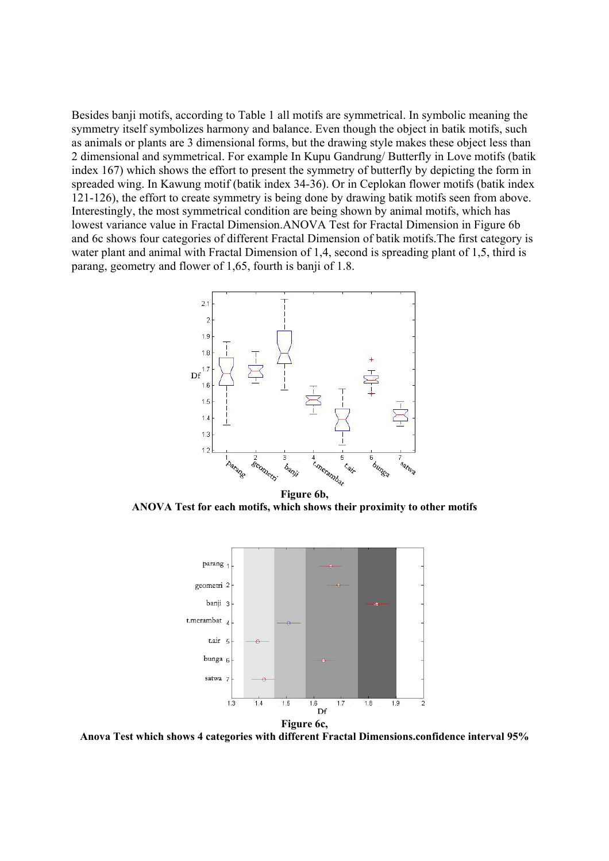Besides banji motifs, according to Table 1 all motifs are symmetrical. In symbolic meaning the symmetry itself symbolizes harmony and balance. Even though the object in batik motifs, such as animals or plants are 3 dimensional forms, but the drawing style makes these object less than 2 dimensional and symmetrical. For example In Kupu Gandrung/ Butterfly in Love motifs (batik index 167) which shows the effort to present the symmetry of butterfly by depicting the form in spreaded wing. In Kawung motif (batik index 34-36). Or in Ceplokan flower motifs (batik index 121-126), the effort to create symmetry is being done by drawing batik motifs seen from above. Interestingly, the most symmetrical condition are being shown by animal motifs, which has lowest variance value in Fractal Dimension.ANOVA Test for Fractal Dimension in Figure 6b and 6c shows four categories of different Fractal Dimension of batik motifs.The first category is water plant and animal with Fractal Dimension of 1,4, second is spreading plant of 1,5, third is parang, geometry and flower of 1,65, fourth is banji of 1.8.



**Figure 6b, ANOVA Test for each motifs, which shows their proximity to other motifs** 



**Anova Test which shows 4 categories with different Fractal Dimensions.confidence interval 95%**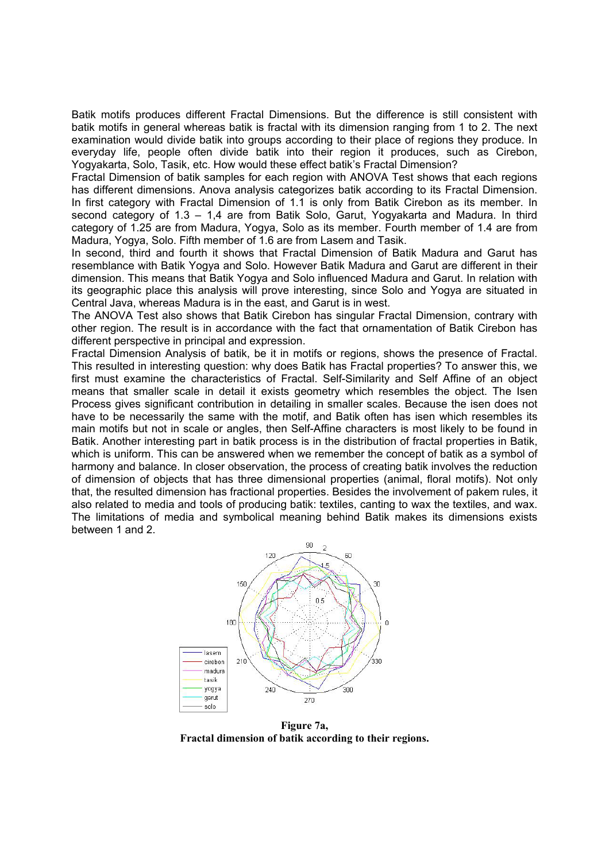Batik motifs produces different Fractal Dimensions. But the difference is still consistent with batik motifs in general whereas batik is fractal with its dimension ranging from 1 to 2. The next examination would divide batik into groups according to their place of regions they produce. In everyday life, people often divide batik into their region it produces, such as Cirebon, Yogyakarta, Solo, Tasik, etc. How would these effect batik's Fractal Dimension?

Fractal Dimension of batik samples for each region with ANOVA Test shows that each regions has different dimensions. Anova analysis categorizes batik according to its Fractal Dimension. In first category with Fractal Dimension of 1.1 is only from Batik Cirebon as its member. In second category of 1.3 – 1,4 are from Batik Solo, Garut, Yogyakarta and Madura. In third category of 1.25 are from Madura, Yogya, Solo as its member. Fourth member of 1.4 are from Madura, Yogya, Solo. Fifth member of 1.6 are from Lasem and Tasik.

In second, third and fourth it shows that Fractal Dimension of Batik Madura and Garut has resemblance with Batik Yogya and Solo. However Batik Madura and Garut are different in their dimension. This means that Batik Yogya and Solo influenced Madura and Garut. In relation with its geographic place this analysis will prove interesting, since Solo and Yogya are situated in Central Java, whereas Madura is in the east, and Garut is in west.

The ANOVA Test also shows that Batik Cirebon has singular Fractal Dimension, contrary with other region. The result is in accordance with the fact that ornamentation of Batik Cirebon has different perspective in principal and expression.

Fractal Dimension Analysis of batik, be it in motifs or regions, shows the presence of Fractal. This resulted in interesting question: why does Batik has Fractal properties? To answer this, we first must examine the characteristics of Fractal. Self-Similarity and Self Affine of an object means that smaller scale in detail it exists geometry which resembles the object. The Isen Process gives significant contribution in detailing in smaller scales. Because the isen does not have to be necessarily the same with the motif, and Batik often has isen which resembles its main motifs but not in scale or angles, then Self-Affine characters is most likely to be found in Batik. Another interesting part in batik process is in the distribution of fractal properties in Batik, which is uniform. This can be answered when we remember the concept of batik as a symbol of harmony and balance. In closer observation, the process of creating batik involves the reduction of dimension of objects that has three dimensional properties (animal, floral motifs). Not only that, the resulted dimension has fractional properties. Besides the involvement of pakem rules, it also related to media and tools of producing batik: textiles, canting to wax the textiles, and wax. The limitations of media and symbolical meaning behind Batik makes its dimensions exists between 1 and 2.



**Figure 7a, Fractal dimension of batik according to their regions.**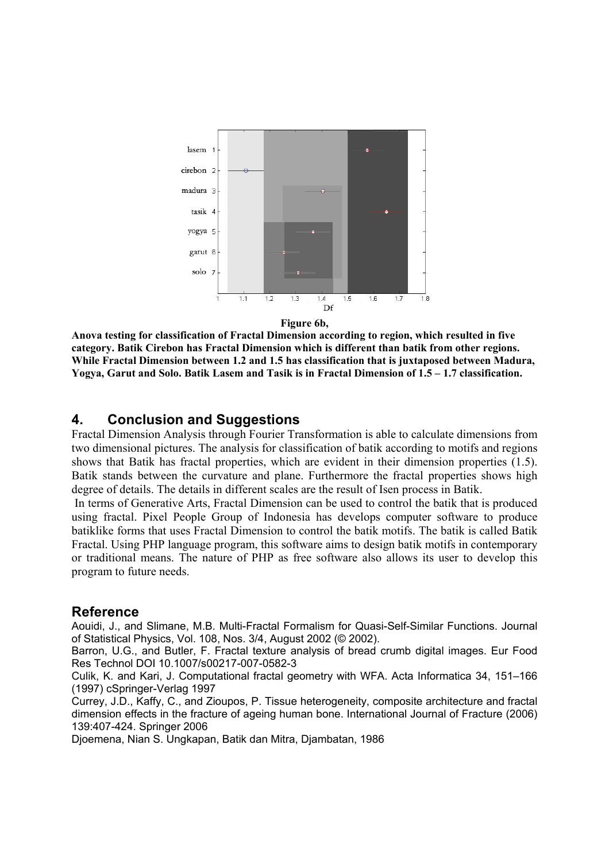

**Anova testing for classification of Fractal Dimension according to region, which resulted in five category. Batik Cirebon has Fractal Dimension which is different than batik from other regions. While Fractal Dimension between 1.2 and 1.5 has classification that is juxtaposed between Madura, Yogya, Garut and Solo. Batik Lasem and Tasik is in Fractal Dimension of 1.5 – 1.7 classification.** 

#### **4. Conclusion and Suggestions**

Fractal Dimension Analysis through Fourier Transformation is able to calculate dimensions from two dimensional pictures. The analysis for classification of batik according to motifs and regions shows that Batik has fractal properties, which are evident in their dimension properties (1.5). Batik stands between the curvature and plane. Furthermore the fractal properties shows high degree of details. The details in different scales are the result of Isen process in Batik.

In terms of Generative Arts, Fractal Dimension can be used to control the batik that is produced using fractal. Pixel People Group of Indonesia has develops computer software to produce batiklike forms that uses Fractal Dimension to control the batik motifs. The batik is called Batik Fractal. Using PHP language program, this software aims to design batik motifs in contemporary or traditional means. The nature of PHP as free software also allows its user to develop this program to future needs.

#### **Reference**

Aouidi, J., and Slimane, M.B. Multi-Fractal Formalism for Quasi-Self-Similar Functions. Journal of Statistical Physics, Vol. 108, Nos. 3/4, August 2002 (© 2002).

Barron, U.G., and Butler, F. Fractal texture analysis of bread crumb digital images. Eur Food Res Technol DOI 10.1007/s00217-007-0582-3

Culik, K. and Kari, J. Computational fractal geometry with WFA. Acta Informatica 34, 151–166 (1997) cSpringer-Verlag 1997

Currey, J.D., Kaffy, C., and Zioupos, P. Tissue heterogeneity, composite architecture and fractal dimension effects in the fracture of ageing human bone. International Journal of Fracture (2006) 139:407-424. Springer 2006

Djoemena, Nian S. Ungkapan, Batik dan Mitra, Djambatan, 1986